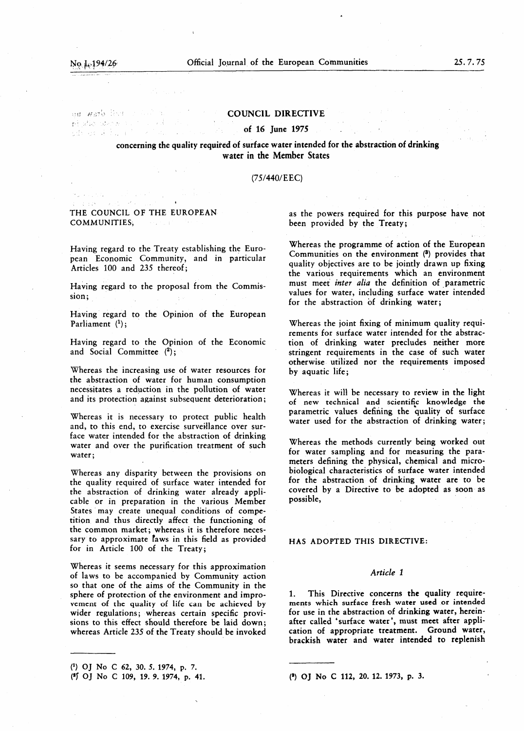ade extra la a

#### COUNCIL DIRECTIVE na wato lisa pi silo steto t

# of 16 June 1975

concerning the quality required of surface water intended for the abstraction of drinking water in the Member States

## (75/440/EEC)

# THE COUNCIL OF THE EUROPEAN COMMUNITIES,

Having regard to the Treaty establishing the European Economic Community, and in particular Articles 100 and 235 thereof;

Having regard to the proposal from the Commission ;

Having regard to the Opinion of the European Parliament  $(1)$ :

Having regard to the Opinion of the Economic and Social Committee  $(2)$ ;

Whereas the increasing use of water resources for the abstraction of water for human consumption necessitates a reduction in the pollution of water and its protection against subsequent deterioration ;

Whereas it is necessary to protect public health and, to this end, to exercise surveillance over surface water intended for the abstraction of drinking water and over the purification treatment of such water;

Whereas any disparity between the provisions on the quality required of surface water intended for the abstraction of drinking water already applicable or in preparation in the various Member States may create unequal conditions of competition and thus directly affect the functioning of the common market ; whereas it is therefore necessary to approximate faws in this field as provided for in Article 100 of the Treaty ;

Whereas it seems necessary for this approximation of laws to be accompanied by Community action so that one of the aims of the Community in the sphere of protection of the environment and improvement of the quality of life can be achieved by wider regulations; whereas certain specific provisions to this effect should therefore be laid down ; whereas Article 235 of the Treaty should be invoked

as the powers required for this purpose have not been provided by the Treaty;

Whereas the programme of action of the European Communities on the environment (8) provides that quality objectives are to be jointly drawn up fixing the various requirements which an environment must meet inter alia the definition of parametric values for water, including surface water intended for the abstraction of drinking water ;

Whereas the joint fixing of minimum quality requirements for surface water intended for the abstraction of drinking water precludes neither more stringent requirements in the case of such water otherwise utilized nor the requirements imposed by aquatic life:

Whereas it will be necessary to review in the light of new technical and scientific knowledge the parametric values defining the quality of surface water used for the abstraction of drinking water;

Whereas the methods currently being worked out for water sampling and for measuring the parameters defining the physical, chemical and microbiological characteristics of surface water intended for the abstraction of drinking water are to be covered by a Directive to be adopted as soon as possible,

#### HAS ADOPTED THIS DIRECTIVE:

#### Article <sup>1</sup>

This Directive concerns the quality require ments which surface fresh water used or intended for use in the abstraction of drinking water, hereinafter called 'surface water ', must meet after application of appropriate treatment. Ground water, brackish water and water intended to replenish

(\*) OJ No C 109, 19. 9. 1974, p. 41. (\*) OJ No C 112, 20. 12. 1973, p. 3.

<sup>(&</sup>gt;) OJ No C 62, 30. 5. 1974, p. 7.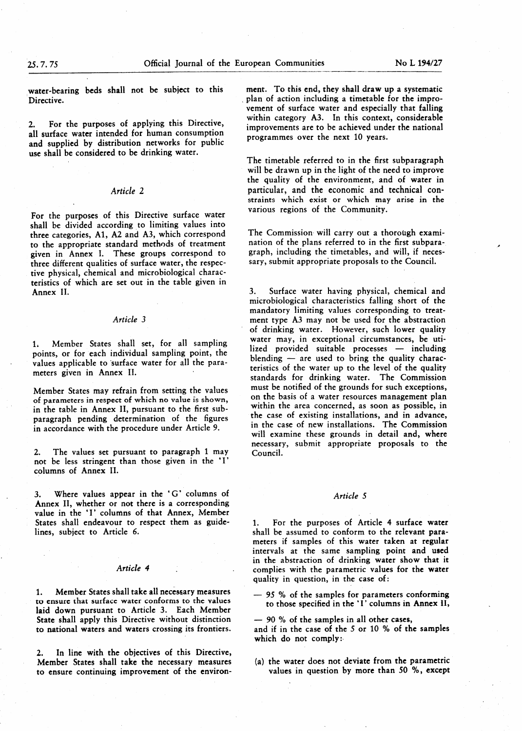water-bearing beds shall not be subject to this Directive.

2. For the purposes of applying this Directive, all surface water intended for human consumption and supplied by distribution networks for public use shall be considered to be drinking water.

## Article 2

For the purposes of this Directive surface water shall be divided according to limiting values into three categories, A1, A2 and A3, which correspond to the appropriate standard methods of treatment given in Annex I. These groups correspond to three different qualities of surface water, the respective physical, chemical and microbiological characteristics of which are set out in the table given in Annex II. 2012 1. Surface water having physical, chemical and

### Article 3

1. Member States shall set, for all sampling points, or for each individual sampling point, the values applicable to surface water for all the parameters given in Annex II.

Member States may refrain from setting the values of parameters in respect of which no value is shown, in the table in Annex II, pursuant to the first subparagraph pending determination of the figures in accordance with the procedure under Article 9.

2. The values set pursuant to paragraph <sup>1</sup> may not be less stringent than those given in the 'I' columns of Annex II.

3. Where values appear in the 'G' columns of Annex II, whether or not there is a corresponding value in the 'I' columns of that Annex, Member States shall endeavour to respect them as guidelines, subject to Article 6.

# Article 4

Member States shall take all necessary measures to ensure that surface water conforms to the values laid down pursuant to Article 3. Each Member State shall apply this Directive without distinction to national waters and waters crossing its frontiers.

2. In line with the objectives of this Directive, Member States shall take the necessary measures to ensure continuing improvement of the environ

ment. To this end, they shall draw up a systematic plan of action including a timetable for the improvement of surface water and especially that falling within category A3. In this context, considerable improvements are to be achieved under the national programmes over the next 10 years.

The timetable referred to in the first subparagraph will be drawn up in the light of the need to improve the quality of the environment, and of water in particular, and the economic and technical constraints which exist or which may arise in the various regions of the Community.

The Commission will carry out a thorough examination of the plans referred to in the first subparagraph, including the timetables, and will, if necessary, submit appropriate proposals to the Council.

microbiological characteristics falling short of the mandatory limiting values corresponding to treatment type A3 may not be used for the abstraction of drinking water. However, such lower quality water may, in exceptional circumstances, be utilized provided suitable processes — including blending  $-$  are used to bring the quality characteristics of the water up to the level of the quality standards for drinking water. The Commission must be notified of the grounds for such exceptions, on the basis of a water resources management plan within the area concerned, as soon as possible, in the case of existing installations, and in advance, in the case of new installations. The Commission will examine these grounds in detail and, where necessary, submit appropriate proposals to the Council.

#### Article 5

1. For the purposes of Article 4 surface water shall be assumed to conform to the relevant parameters if samples of this water taken at regular intervals at the same sampling point and used in the abstraction of drinking water show that it complies with the parametric values for the water quality in question, in the case of :

— 95 % of the samples for parameters conforming to those specified in the 'I' columns in Annex II,

— 90 % of the samples in all other cases,

and if in the case of the 5 or 10 % of the samples which do not comply:

(a) the water does not deviate from the parametric values in question by more than 50 %, except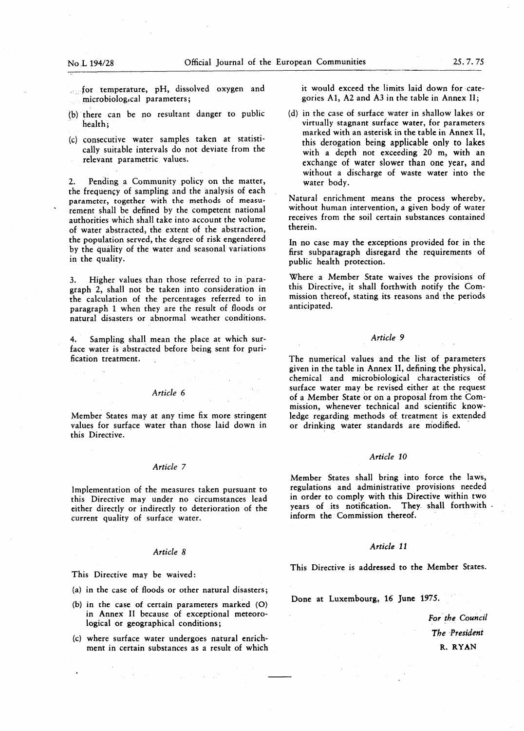for temperature, pH, dissolved oxygen and microbiological parameters;

- (b) there can be no resultant danger to public health ;
- (c) consecutive water samples taken at statistically suitable intervals do not deviate from the relevant parametric values.

2. Pending a Community policy on the matter, the frequency of sampling and the analysis of each parameter, together with the methods of measurement shall be defined by the competent national authorities which shall take into account the volume of water abstracted, the extent of the abstraction, the population served, the degree of risk engendered by the quality of the water and seasonal variations in the quality.

3. Higher values than those referred to in paragraph 2, shall not be taken into consideration in the calculation of the percentages referred to in paragraph <sup>1</sup> when they are the result of floods or natural disasters or abnormal weather conditions.

4. Sampling shall mean the place at which surface water is abstracted before being sent for purification treatment.

# Article 6

Member States may at any time fix more stringent values for surface water than those laid down in this Directive.

#### Article 7

Implementation of the measures taken pursuant to this Directive may under no circumstances lead either directly or indirectly to deterioration of the current quality of surface water.

#### Article 8

This Directive may be waived:

- (a) in the case of floods or other natural disasters;
- (b) in the case of certain parameters marked (O) in Annex II because of exceptional meteorological or geographical conditions;
- (c) where surface water undergoes natural enrichment in certain substances as a result of which

 $\label{eq:2.1} \frac{d}{dt} \left( \left( \begin{array}{cc} \frac{d}{dt} & \frac{d}{dt} \\ \frac{d}{dt} & \frac{d}{dt} \end{array} \right) \right) = \left( \begin{array}{cc} \frac{d}{dt} & \frac{d}{dt} \\ \frac{d}{dt} & \frac{d}{dt} \end{array} \right) = \left( \begin{array}{cc} \frac{d}{dt} & \frac{d}{dt} \\ \frac{d}{dt} & \frac{d}{dt} \end{array} \right) = \left( \begin{array}{cc} \frac{d}{dt} & \frac{d}{dt} \\ \frac{d}{dt} & \frac{d}{dt} \end{array} \right$ 

it would exceed the limits laid down for categories Al, A2 and A3 in the table in Annex II ;

(d) in the case of surface water in shallow lakes or virtually stagnant surface water, for parameters marked with an asterisk in the table in Annex II, this derogation being applicable only to lakes with a depth not exceeding 20 m, with an exchange of water slower than one year, and without a discharge of waste water into the water body.

Natural enrichment means the process whereby, without human intervention, a given body of water receives from the soil certain substances contained therein.

In no case may the exceptions provided for in the first subparagraph disregard the requirements of public health protection.

Where a Member State waives the provisions of this Directive, it shall forthwith notify the Commission thereof, stating its reasons and the periods anticipated.

# Article 9

The numerical values and the list of parameters given in the table in Annex II, defining the physical, chemical and microbiological characteristics of surface water may be revised either at the request of a Member State or on a proposal from the Commission, whenever technical and scientific knowledge regarding methods of treatment is extended or drinking water standards are modified.

### Article 10

Member States shall bring into force the laws, regulations and administrative provisions needed in order to comply with this Directive within two years of its notification. They shall forthwith inform the Commission thereof.

## Article 11

This Directive is addressed to the Member States.

Done at Luxembourg, 16 June 1975.

 $\mathcal{L}_{\text{max}}$  and  $\mathcal{L}_{\text{max}}$ 

For the Council The President R. RYAN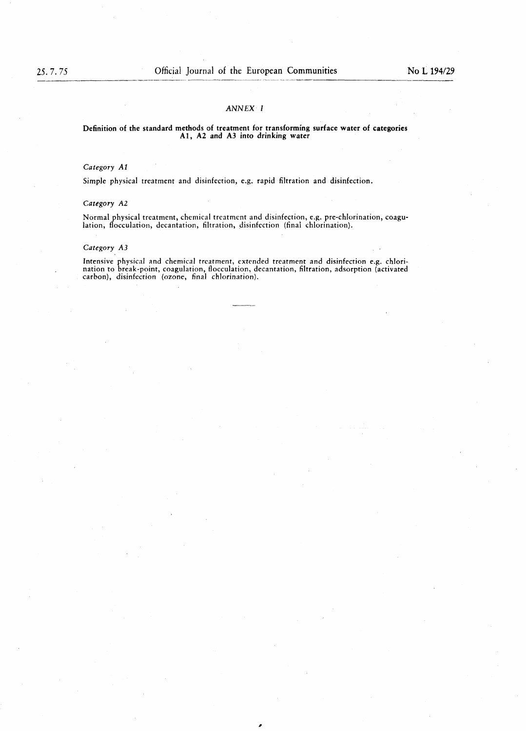$\label{eq:2.1} \frac{1}{\sqrt{2}}\int_{\mathbb{R}^3}\frac{1}{\sqrt{2}}\left(\frac{1}{\sqrt{2}}\right)^2\frac{1}{\sqrt{2}}\left(\frac{1}{\sqrt{2}}\right)^2\frac{1}{\sqrt{2}}\left(\frac{1}{\sqrt{2}}\right)^2\frac{1}{\sqrt{2}}\left(\frac{1}{\sqrt{2}}\right)^2\frac{1}{\sqrt{2}}\left(\frac{1}{\sqrt{2}}\right)^2\frac{1}{\sqrt{2}}\frac{1}{\sqrt{2}}\frac{1}{\sqrt{2}}\frac{1}{\sqrt{2}}\frac{1}{\sqrt{2}}\frac{1}{\sqrt{2}}$ 

 $\label{eq:2.1} \frac{1}{\sqrt{2}}\int_{0}^{\infty} \frac{1}{\sqrt{2\pi}}\left(\frac{1}{\sqrt{2\pi}}\right)^{2\alpha} \frac{1}{\sqrt{2\pi}}\int_{0}^{\infty} \frac{1}{\sqrt{2\pi}}\left(\frac{1}{\sqrt{2\pi}}\right)^{\alpha} \frac{1}{\sqrt{2\pi}}\int_{0}^{\infty} \frac{1}{\sqrt{2\pi}}\frac{1}{\sqrt{2\pi}}\frac{1}{\sqrt{2\pi}}\frac{1}{\sqrt{2\pi}}\frac{1}{\sqrt{2\pi}}\frac{1}{\sqrt{2\pi}}\frac{1}{\sqrt{2$ 

#### ANNEX I

#### Definition of the standard methods of treatment for transforming surface water of categories A1, A2 and A3 into drinking water

#### Category Al

Simple physical treatment and disinfection, e.g. rapid filtration and disinfection .

### Category A2

Normal physical treatment, chemical treatment and disinfection, e.g. pre-chlorination, coagulation, flocculation, decantation, filtration, disinfection (final chlorination).

#### Category A3

Intensive physical and chemical treatment, extended treatment and disinfection e.g. chlorination to break-point, coagulation, flocculation, decantation, filtration, adsorption (activated carbon), disinfection (ozone, final chlorination).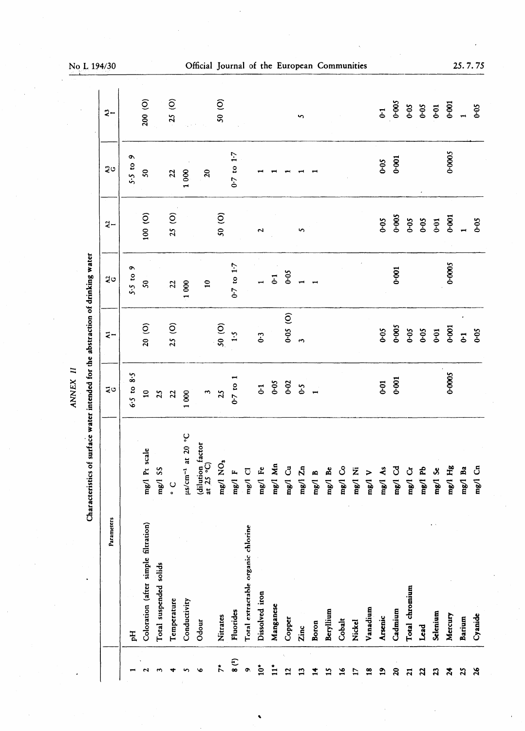| $\bullet$                            |            | Characteristics of surface water intended for the abstraction of drinking water | $\overline{\mathbf{I}}$<br><b>ANNEX</b> |                    |                 |                      |                |                   |
|--------------------------------------|------------|---------------------------------------------------------------------------------|-----------------------------------------|--------------------|-----------------|----------------------|----------------|-------------------|
|                                      | Parameters |                                                                                 | 20                                      | $\overline{z}$ -   | 20              | $2 -$                | 20             | $2 -$             |
| $H_{\mathbf{q}}$                     |            |                                                                                 | $6.5$ to $8.5$                          |                    | $5.5$ to 9      |                      | $5.5$ to 9     |                   |
| Coloration (after simple filtration) |            | mg/l Pt scale                                                                   | $\overline{\phantom{0}}$                | 20(0)              | 50              | 100(0)               | 50             | 200(0)            |
| Total suspended solids               |            | $\overline{\mathsf{S}}$<br>mg/l                                                 | 25                                      |                    |                 |                      |                |                   |
| Temperature                          |            | $\circ$                                                                         | 22                                      | 25(0)              | 22              | 25(0)                | 22             | $-25$ (O)         |
| Conductivity                         |            | $\mu$ s/cm <sup>-1</sup> at 20 °C                                               | 1000                                    |                    | 1000            |                      | 1000           |                   |
| Odour                                |            | (dilution factor<br>at $25°C$ )                                                 | $\boldsymbol{\omega}$                   |                    | $\overline{10}$ |                      | 20             |                   |
| Nitrates                             |            | mg/l NO <sub>3</sub>                                                            | 25                                      | 50(0)              |                 | 50 (O)               |                | 50 <sub>(O)</sub> |
| Fluorides                            |            | L,<br>mg/1                                                                      | $\overline{\phantom{a}}$<br>$0.7$ to    | 1.5                | $0.7$ to $1.7$  |                      | $0.7$ to $1.7$ |                   |
| Total extractable organic chlorine   |            | $\overline{\text{C}}$<br>$\mathrm{mg}/l$                                        |                                         |                    |                 |                      |                |                   |
| Dissolved iron                       |            | $\mathbf{F}$<br>$\mathrm{mg}/l$                                                 | $0 - 1$                                 | $0 - 3$            |                 | $\mathbf{\tilde{z}}$ |                |                   |
| Manganese                            |            | Mn<br>$\mathrm{mg}/\mathrm{l}$                                                  | 0.05                                    |                    | $\overline{0}$  |                      |                |                   |
| Copper                               |            | $\vec{c}$<br>$\mathbf{mg}/l$                                                    | $0 - 02$                                | $0.05$ (O)         | 0.05            |                      |                |                   |
| Zinc                                 |            | $\mathbf{z}_{n}$<br>mg/1                                                        | 0.5                                     | $\mathbf{\hat{z}}$ |                 | $\sim$               |                | $\sim$            |
| Boron                                |            | ă.<br>$\mathrm{mg}/\mathrm{l}$                                                  | $\overline{ }$                          |                    |                 |                      |                |                   |
| Beryllium                            |            | ഷ<br>$\mathrm{mg}/\mathrm{l}$                                                   |                                         |                    |                 |                      |                |                   |
| Cobalt                               |            | ပိ<br>$\mathrm{mg}/\mathrm{l}$                                                  |                                         |                    |                 |                      |                |                   |
| Nickel                               |            | $\ddot{\mathbf{z}}$<br>$\mathbf{m}\mathbf{g}/\mathbf{l}$                        |                                         |                    |                 |                      |                |                   |
| Vanadium                             |            | $\triangleright$<br>mg/l                                                        |                                         |                    |                 |                      |                |                   |
| Arsenic                              |            | Ås<br>mg/l                                                                      | $0 - 01$                                | 0.05               |                 | 0.05                 | $0 - 05$       | $\mathbf{C}$      |
| Cadmium                              |            | $\mathbf{C}$<br>$\rm mg/l$                                                      | 0.001                                   | $0 - 005$          | $0 - 001$       | $0 - 005$            | 0.001          | 0.005             |
| Total chromium                       |            | Ğ<br>mg/1                                                                       |                                         | 0.05               |                 | $0 - 05$             |                | 0.05              |
| Lead                                 |            | <b>A</b><br>mg/l                                                                |                                         | 0.05               |                 | 0.05                 |                | 0.05              |
| Selenium                             |            | ႓ၟ<br>mg/1                                                                      |                                         | 0.01               |                 | $0 - 01$             |                | $0 - 01$          |
| Mercury                              |            | Hg<br>mg/1                                                                      | 0-0005                                  | 0.001              | 0.0005          | 0.001                | 0.0005         | 0.001             |
| Barium                               |            | Ba<br>mg/1                                                                      |                                         | $0 - 1$            |                 | $\rightarrow$        |                | $\blacksquare$    |
| Cyanide                              |            | $\mathcal{S}$<br>mg/1                                                           |                                         | 0.05               |                 | $0-05$               |                | 0.05              |

 $\label{eq:2.1} \mathbf{v} = \mathbf{v} + \mathbf{v} + \mathbf{v} + \mathbf{v}$ 

 $\label{eq:2.1} \mathcal{L}(\mathcal{L}(\mathcal{L})) = \mathcal{L}(\mathcal{L}(\mathcal{L})) = \mathcal{L}(\mathcal{L}(\mathcal{L})) = \mathcal{L}(\mathcal{L}(\mathcal{L})) = \mathcal{L}(\mathcal{L}(\mathcal{L})) = \mathcal{L}(\mathcal{L}(\mathcal{L})) = \mathcal{L}(\mathcal{L}(\mathcal{L})) = \mathcal{L}(\mathcal{L}(\mathcal{L})) = \mathcal{L}(\mathcal{L}(\mathcal{L})) = \mathcal{L}(\mathcal{L}(\mathcal{L})) = \mathcal{L}(\mathcal{L}(\mathcal{L})) = \math$ 

No. L. 194/30

# Official Journal of the European Communities

7 .75